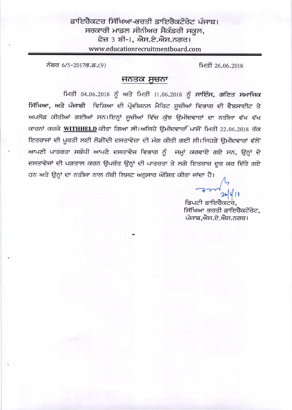ਡਾਇਰੈਕਟਰ ਸਿੱਖਿਆ-ਭਰਤੀ ਡਾਇਰੈਕਟੋਰੇਟ ਪੰਜਾਬ। ਸਰਕਾਰੀ ਮਾਡਲ ਸੀਨੀਅਰ ਸੈਕੰਡਰੀ ਸਕੂਲ, ਫੇਜ਼ 3 ਬੀ-1, ਐਸ.ਏ.ਐਸ.ਨਗਰ। www.educationrecruitmentboard.com

ਨੰਬਰ 6/5-2017ਭ.ਡ.(9)

ਮਿਤੀ 26.06.2018

## ਜਨਤਕ ਸੂਚਨਾ

ਮਿਤੀ 04.06.2018 ਨੂੰ ਅਤੇ ਮਿਤੀ 11.06.2018 ਨੂੰ ਸਾਇੰਸ, ਗਣਿਤ ਸਮਾਜਿਕ ਸਿੱਖਿਆ, ਅਤੇ ਪੰਜਾਬੀ ਵਿਸ਼ਿਆ ਦੀ ਪ੍ਰੋਵੀਜ਼ਨਲ ਮੈਰਿਟ ਸੁਚੀਆਂ ਵਿਭਾਗ ਦੀ ਵੈਬਸਾਈਟ ਤੇ ਅਪਲੋਡ ਕੀਤੀਆਂ ਗਈਆਂ ਸਨ।ਇਨ੍ਹਾਂ ਸੁਚੀਆਂ ਵਿੱਚ ਕੁੱਝ ਉਮੀਦਵਾਰਾਂ ਦਾ ਨਤੀਜਾ ਵੱਖ ਵੱਖ ਕਾਰਨਾਂ ਕਰਕੇ WITHHELD ਕੀਤਾ ਗਿਆ ਸੀ।ਅਜਿਹੇ ਉਮੀਦਵਾਰਾਂ ਪਾਸੋਂ ਮਿਤੀ 22.06.2018 ਤੱਕ ਇਤਰਾਜਾਂ ਦੀ ਪੂਰਤੀ ਲਈ ਲੋੜੀਂਦੀ ਦਸਤਾਵੇਜ਼ਾ ਦੀ ਮੰਗ ਕੀਤੀ ਗਈ ਸੀ।ਜਿਹੜੇ ਉਮੀਦਵਾਰਾਂ ਵੱਲੋਂ ਆਪਣੀ ਪਾਤਰਤਾ ਸਬੰਧੀ ਆਪਣੇ ਦਸਤਾਵੇਜ਼ ਵਿਭਾਗ ਨੂੰ ਜਮ੍ਹਾਂ ਕਰਵਾਏ ਗਏ ਸਨ, ਉਨ੍ਹਾਂ ਦੇ ਦਸਤਾਵੇਜਾਂ ਦੀ ਪੜਤਾਲ ਕਰਨ ਉਪਰੰਤ ਉਨ੍ਹਾਂ ਦੀ ਪਾਤਰਤਾ ਤੇ ਲਗੇ ਇਤਰਾਜ਼ ਦੂਰ ਕਰ ਦਿੱਤੇ ਗਏ ਹਨ ਅਤੇ ਉਨ੍ਹਾਂ ਦਾ ਨਤੀਜਾ ਨਾਲ ਨੱਥੀ ਲਿਸਟ ਅਨੁਸਾਰ ਘੋਸ਼ਿਤ ਕੀਤਾ ਜਾਂਦਾ ਹੈ।

> ਡਿਪਟੀ ਡਾਇਰੈਕਟਰ, ਸਿੱਖਿਆ ਭਰਤੀ ਡਾਇਰੈਕਟੋਰੇਟ, ਪੰਜਾਬ,ਐਸ.ਏ.ਐਸ.ਨਗਰ।

 $x|y|$